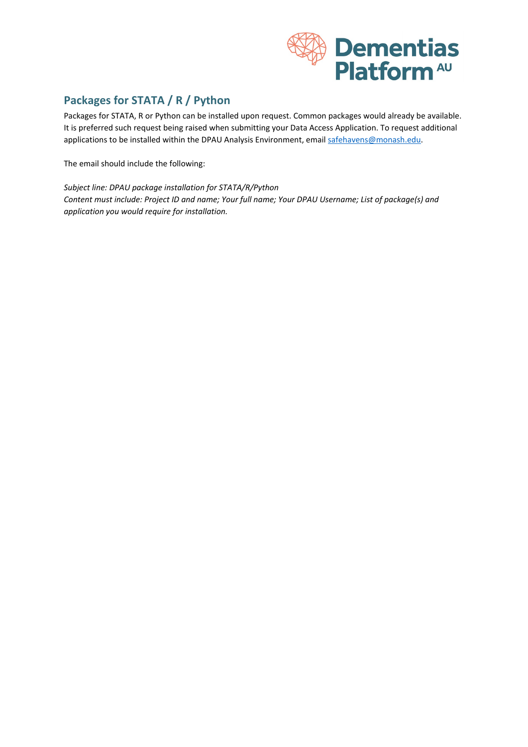

## **Packages for STATA / R / Python**

Packages for STATA, R or Python can be installed upon request. Common packages would already be available. It is preferred such request being raised when submitting your Data Access Application. To request additional applications to be installed within the DPAU Analysis Environment, email [safehavens@monash.edu.](mailto:safehavens@monash.edu)

The email should include the following:

*Subject line: DPAU package installation for STATA/R/Python Content must include: Project ID and name; Your full name; Your DPAU Username; List of package(s) and application you would require for installation.*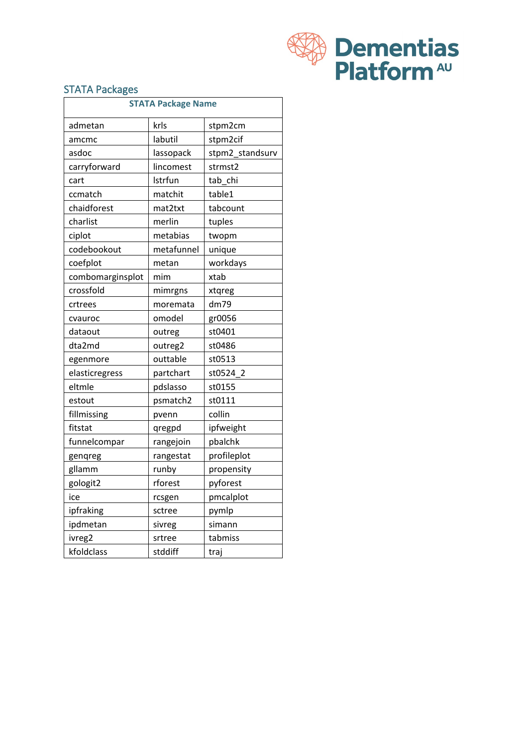

## **STATA Packages**

| <b>STATA Package Name</b> |            |                 |  |  |
|---------------------------|------------|-----------------|--|--|
| admetan                   | krls       | stpm2cm         |  |  |
| amcmc                     | labutil    | stpm2cif        |  |  |
| asdoc                     | lassopack  | stpm2 standsurv |  |  |
| carryforward              | lincomest  | strmst2         |  |  |
| cart                      | Istrfun    | tab chi         |  |  |
| ccmatch                   | matchit    | table1          |  |  |
| chaidforest               | mat2txt    | tabcount        |  |  |
| charlist                  | merlin     | tuples          |  |  |
| ciplot                    | metabias   | twopm           |  |  |
| codebookout               | metafunnel | unique          |  |  |
| coefplot                  | metan      | workdays        |  |  |
| combomarginsplot          | mim        | xtab            |  |  |
| crossfold                 | mimrgns    | xtqreg          |  |  |
| crtrees                   | moremata   | dm79            |  |  |
| cvauroc                   | omodel     | gr0056          |  |  |
| dataout                   | outreg     | st0401          |  |  |
| dta2md                    | outreg2    | st0486          |  |  |
| egenmore                  | outtable   | st0513          |  |  |
| elasticregress            | partchart  | st0524 2        |  |  |
| eltmle                    | pdslasso   | st0155          |  |  |
| estout                    | psmatch2   | st0111          |  |  |
| fillmissing               | pvenn      | collin          |  |  |
| fitstat                   | qregpd     | ipfweight       |  |  |
| funnelcompar              | rangejoin  | pbalchk         |  |  |
| genqreg                   | rangestat  | profileplot     |  |  |
| gllamm                    | runby      | propensity      |  |  |
| gologit2                  | rforest    | pyforest        |  |  |
| ice                       | rcsgen     | pmcalplot       |  |  |
| ipfraking                 | sctree     | pymlp           |  |  |
| ipdmetan                  | sivreg     | simann          |  |  |
| ivreg2                    | srtree     | tabmiss         |  |  |
| kfoldclass                | stddiff    | traj            |  |  |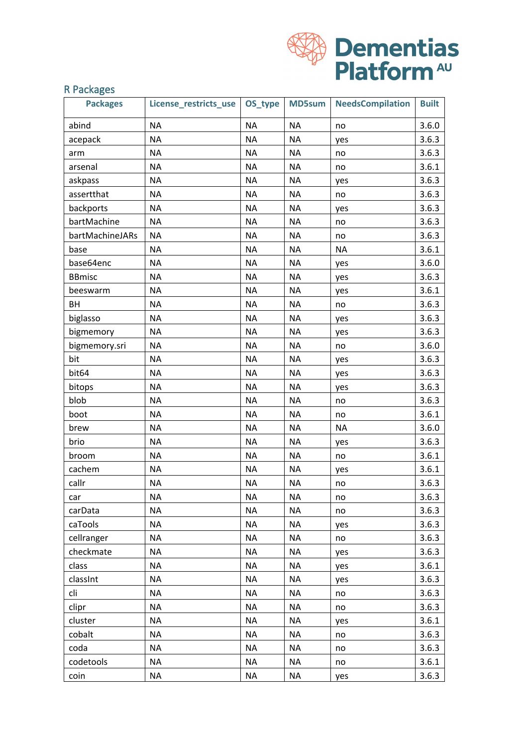

## R Packages

| <b>Packages</b> | License_restricts_use | OS_type   | <b>MD5sum</b> | <b>NeedsCompilation</b> | <b>Built</b> |
|-----------------|-----------------------|-----------|---------------|-------------------------|--------------|
| abind           | <b>NA</b>             | <b>NA</b> | <b>NA</b>     | no                      | 3.6.0        |
| acepack         | <b>NA</b>             | <b>NA</b> | <b>NA</b>     | yes                     | 3.6.3        |
| arm             | <b>NA</b>             | <b>NA</b> | <b>NA</b>     | no                      | 3.6.3        |
| arsenal         | <b>NA</b>             | <b>NA</b> | <b>NA</b>     | no                      | 3.6.1        |
| askpass         | <b>NA</b>             | <b>NA</b> | <b>NA</b>     | yes                     | 3.6.3        |
| assertthat      | <b>NA</b>             | <b>NA</b> | <b>NA</b>     | no                      | 3.6.3        |
| backports       | <b>NA</b>             | <b>NA</b> | <b>NA</b>     | yes                     | 3.6.3        |
| bartMachine     | <b>NA</b>             | <b>NA</b> | <b>NA</b>     | no                      | 3.6.3        |
| bartMachineJARs | <b>NA</b>             | <b>NA</b> | <b>NA</b>     | no                      | 3.6.3        |
| base            | <b>NA</b>             | <b>NA</b> | <b>NA</b>     | <b>NA</b>               | 3.6.1        |
| base64enc       | <b>NA</b>             | <b>NA</b> | <b>NA</b>     | yes                     | 3.6.0        |
| <b>BBmisc</b>   | <b>NA</b>             | <b>NA</b> | <b>NA</b>     | yes                     | 3.6.3        |
| beeswarm        | <b>NA</b>             | <b>NA</b> | <b>NA</b>     | yes                     | 3.6.1        |
| BH              | <b>NA</b>             | <b>NA</b> | <b>NA</b>     | no                      | 3.6.3        |
| biglasso        | <b>NA</b>             | <b>NA</b> | <b>NA</b>     | yes                     | 3.6.3        |
| bigmemory       | <b>NA</b>             | <b>NA</b> | <b>NA</b>     | yes                     | 3.6.3        |
| bigmemory.sri   | <b>NA</b>             | <b>NA</b> | <b>NA</b>     | no                      | 3.6.0        |
| bit             | <b>NA</b>             | <b>NA</b> | <b>NA</b>     | yes                     | 3.6.3        |
| bit64           | <b>NA</b>             | <b>NA</b> | <b>NA</b>     | yes                     | 3.6.3        |
| bitops          | <b>NA</b>             | <b>NA</b> | <b>NA</b>     | yes                     | 3.6.3        |
| blob            | <b>NA</b>             | <b>NA</b> | <b>NA</b>     | no                      | 3.6.3        |
| boot            | <b>NA</b>             | <b>NA</b> | <b>NA</b>     | no                      | 3.6.1        |
| brew            | <b>NA</b>             | <b>NA</b> | <b>NA</b>     | <b>NA</b>               | 3.6.0        |
| brio            | <b>NA</b>             | <b>NA</b> | <b>NA</b>     | yes                     | 3.6.3        |
| broom           | <b>NA</b>             | <b>NA</b> | <b>NA</b>     | no                      | 3.6.1        |
| cachem          | <b>NA</b>             | <b>NA</b> | <b>NA</b>     | yes                     | 3.6.1        |
| callr           | <b>NA</b>             | <b>NA</b> | <b>NA</b>     | no                      | 3.6.3        |
| car             | <b>NA</b>             | <b>NA</b> | <b>NA</b>     | no                      | 3.6.3        |
| carData         | <b>NA</b>             | <b>NA</b> | <b>NA</b>     | no                      | 3.6.3        |
| caTools         | <b>NA</b>             | <b>NA</b> | <b>NA</b>     | yes                     | 3.6.3        |
| cellranger      | <b>NA</b>             | <b>NA</b> | <b>NA</b>     | no                      | 3.6.3        |
| checkmate       | <b>NA</b>             | <b>NA</b> | <b>NA</b>     | yes                     | 3.6.3        |
| class           | <b>NA</b>             | <b>NA</b> | <b>NA</b>     | yes                     | 3.6.1        |
| classInt        | <b>NA</b>             | <b>NA</b> | <b>NA</b>     | yes                     | 3.6.3        |
| cli             | <b>NA</b>             | <b>NA</b> | <b>NA</b>     | no                      | 3.6.3        |
| clipr           | <b>NA</b>             | <b>NA</b> | <b>NA</b>     | no                      | 3.6.3        |
| cluster         | <b>NA</b>             | <b>NA</b> | <b>NA</b>     | yes                     | 3.6.1        |
| cobalt          | <b>NA</b>             | <b>NA</b> | <b>NA</b>     | no                      | 3.6.3        |
| coda            | <b>NA</b>             | <b>NA</b> | <b>NA</b>     | no                      | 3.6.3        |
| codetools       | <b>NA</b>             | <b>NA</b> | <b>NA</b>     | no                      | 3.6.1        |
| coin            | <b>NA</b>             | <b>NA</b> | <b>NA</b>     | yes                     | 3.6.3        |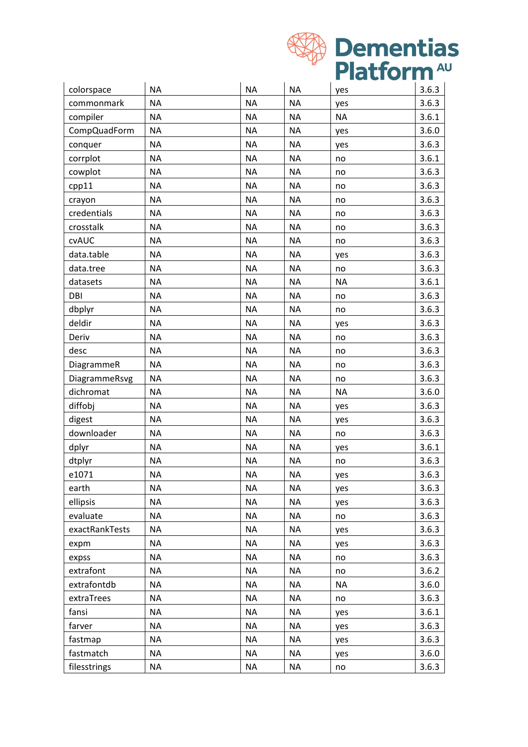

| colorspace     | <b>NA</b> | <b>NA</b> | <b>NA</b> | yes       | 3.6.3 |
|----------------|-----------|-----------|-----------|-----------|-------|
| commonmark     | <b>NA</b> | <b>NA</b> | <b>NA</b> | yes       | 3.6.3 |
| compiler       | <b>NA</b> | <b>NA</b> | <b>NA</b> | <b>NA</b> | 3.6.1 |
| CompQuadForm   | <b>NA</b> | <b>NA</b> | <b>NA</b> | yes       | 3.6.0 |
| conquer        | <b>NA</b> | <b>NA</b> | <b>NA</b> | yes       | 3.6.3 |
| corrplot       | <b>NA</b> | <b>NA</b> | <b>NA</b> | no        | 3.6.1 |
| cowplot        | <b>NA</b> | <b>NA</b> | <b>NA</b> | no        | 3.6.3 |
| cpp11          | <b>NA</b> | <b>NA</b> | <b>NA</b> | no        | 3.6.3 |
| crayon         | <b>NA</b> | <b>NA</b> | <b>NA</b> | no        | 3.6.3 |
| credentials    | <b>NA</b> | <b>NA</b> | <b>NA</b> | no        | 3.6.3 |
| crosstalk      | <b>NA</b> | <b>NA</b> | <b>NA</b> | no        | 3.6.3 |
| <b>CVAUC</b>   | <b>NA</b> | <b>NA</b> | <b>NA</b> | no        | 3.6.3 |
| data.table     | <b>NA</b> | <b>NA</b> | <b>NA</b> | yes       | 3.6.3 |
| data.tree      | <b>NA</b> | <b>NA</b> | <b>NA</b> | no        | 3.6.3 |
| datasets       | <b>NA</b> | <b>NA</b> | <b>NA</b> | <b>NA</b> | 3.6.1 |
| DBI            | <b>NA</b> | <b>NA</b> | <b>NA</b> | no        | 3.6.3 |
| dbplyr         | <b>NA</b> | <b>NA</b> | <b>NA</b> | no        | 3.6.3 |
| deldir         | <b>NA</b> | <b>NA</b> | <b>NA</b> | yes       | 3.6.3 |
| Deriv          | <b>NA</b> | <b>NA</b> | <b>NA</b> | no        | 3.6.3 |
| desc           | <b>NA</b> | <b>NA</b> | <b>NA</b> | no        | 3.6.3 |
| DiagrammeR     | <b>NA</b> | <b>NA</b> | <b>NA</b> | no        | 3.6.3 |
| DiagrammeRsvg  | <b>NA</b> | <b>NA</b> | <b>NA</b> | no        | 3.6.3 |
| dichromat      | <b>NA</b> | <b>NA</b> | <b>NA</b> | <b>NA</b> | 3.6.0 |
| diffobj        | <b>NA</b> | <b>NA</b> | <b>NA</b> | yes       | 3.6.3 |
| digest         | <b>NA</b> | <b>NA</b> | <b>NA</b> | yes       | 3.6.3 |
| downloader     | <b>NA</b> | <b>NA</b> | <b>NA</b> | no        | 3.6.3 |
| dplyr          | <b>NA</b> | <b>NA</b> | <b>NA</b> | yes       | 3.6.1 |
| dtplyr         | <b>NA</b> | <b>NA</b> | <b>NA</b> | no        | 3.6.3 |
| e1071          | <b>NA</b> | <b>NA</b> | <b>NA</b> | yes       | 3.6.3 |
| earth          | <b>NA</b> | <b>NA</b> | <b>NA</b> | yes       | 3.6.3 |
| ellipsis       | <b>NA</b> | <b>NA</b> | <b>NA</b> | yes       | 3.6.3 |
| evaluate       | <b>NA</b> | <b>NA</b> | <b>NA</b> | no        | 3.6.3 |
| exactRankTests | <b>NA</b> | ΝA        | <b>NA</b> | yes       | 3.6.3 |
| expm           | <b>NA</b> | <b>NA</b> | <b>NA</b> | yes       | 3.6.3 |
| expss          | <b>NA</b> | <b>NA</b> | <b>NA</b> | no        | 3.6.3 |
| extrafont      | <b>NA</b> | <b>NA</b> | <b>NA</b> | no        | 3.6.2 |
| extrafontdb    | <b>NA</b> | <b>NA</b> | <b>NA</b> | <b>NA</b> | 3.6.0 |
| extraTrees     | <b>NA</b> | <b>NA</b> | <b>NA</b> | no        | 3.6.3 |
| fansi          | <b>NA</b> | <b>NA</b> | <b>NA</b> | yes       | 3.6.1 |
| farver         | <b>NA</b> | <b>NA</b> | <b>NA</b> | yes       | 3.6.3 |
| fastmap        | <b>NA</b> | <b>NA</b> | <b>NA</b> | yes       | 3.6.3 |
| fastmatch      | <b>NA</b> | <b>NA</b> | <b>NA</b> | yes       | 3.6.0 |
| filesstrings   | <b>NA</b> | <b>NA</b> | <b>NA</b> | no        | 3.6.3 |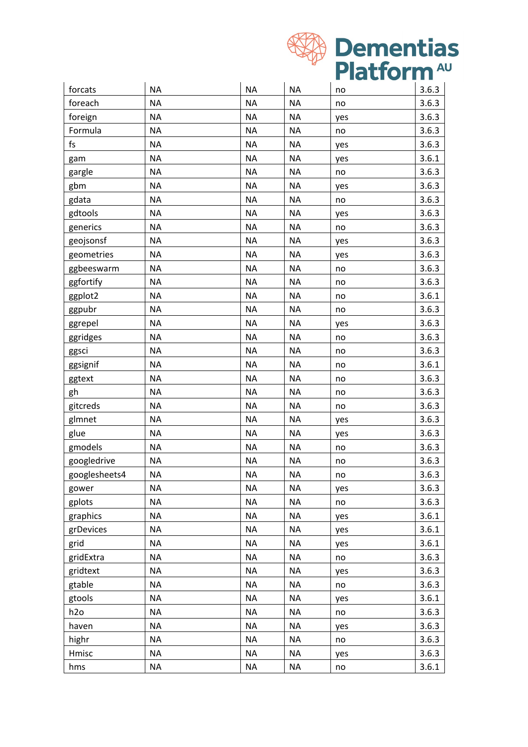

| forcats       | <b>NA</b> | <b>NA</b> | <b>NA</b> | no  | 3.6.3 |
|---------------|-----------|-----------|-----------|-----|-------|
| foreach       | <b>NA</b> | <b>NA</b> | <b>NA</b> | no  | 3.6.3 |
| foreign       | <b>NA</b> | <b>NA</b> | <b>NA</b> | yes | 3.6.3 |
| Formula       | <b>NA</b> | <b>NA</b> | <b>NA</b> | no  | 3.6.3 |
| fs            | <b>NA</b> | <b>NA</b> | <b>NA</b> | yes | 3.6.3 |
| gam           | <b>NA</b> | <b>NA</b> | <b>NA</b> | yes | 3.6.1 |
| gargle        | <b>NA</b> | <b>NA</b> | <b>NA</b> | no  | 3.6.3 |
| gbm           | <b>NA</b> | <b>NA</b> | <b>NA</b> | yes | 3.6.3 |
| gdata         | <b>NA</b> | <b>NA</b> | <b>NA</b> | no  | 3.6.3 |
| gdtools       | <b>NA</b> | <b>NA</b> | <b>NA</b> | yes | 3.6.3 |
| generics      | <b>NA</b> | <b>NA</b> | <b>NA</b> | no  | 3.6.3 |
| geojsonsf     | <b>NA</b> | <b>NA</b> | <b>NA</b> | yes | 3.6.3 |
| geometries    | <b>NA</b> | <b>NA</b> | <b>NA</b> | yes | 3.6.3 |
| ggbeeswarm    | <b>NA</b> | <b>NA</b> | <b>NA</b> | no  | 3.6.3 |
| ggfortify     | <b>NA</b> | <b>NA</b> | <b>NA</b> | no  | 3.6.3 |
| ggplot2       | <b>NA</b> | <b>NA</b> | <b>NA</b> | no  | 3.6.1 |
| ggpubr        | <b>NA</b> | <b>NA</b> | <b>NA</b> | no  | 3.6.3 |
| ggrepel       | <b>NA</b> | <b>NA</b> | <b>NA</b> | yes | 3.6.3 |
| ggridges      | <b>NA</b> | <b>NA</b> | <b>NA</b> | no  | 3.6.3 |
| ggsci         | <b>NA</b> | <b>NA</b> | <b>NA</b> | no  | 3.6.3 |
| ggsignif      | <b>NA</b> | <b>NA</b> | <b>NA</b> | no  | 3.6.1 |
| ggtext        | <b>NA</b> | <b>NA</b> | <b>NA</b> | no  | 3.6.3 |
| gh            | <b>NA</b> | <b>NA</b> | <b>NA</b> | no  | 3.6.3 |
| gitcreds      | <b>NA</b> | <b>NA</b> | <b>NA</b> | no  | 3.6.3 |
| glmnet        | <b>NA</b> | <b>NA</b> | <b>NA</b> | yes | 3.6.3 |
| glue          | <b>NA</b> | <b>NA</b> | <b>NA</b> | yes | 3.6.3 |
| gmodels       | <b>NA</b> | <b>NA</b> | <b>NA</b> | no  | 3.6.3 |
| googledrive   | <b>NA</b> | <b>NA</b> | <b>NA</b> | no  | 3.6.3 |
| googlesheets4 | <b>NA</b> | <b>NA</b> | <b>NA</b> | no  | 3.6.3 |
| gower         | <b>NA</b> | <b>NA</b> | <b>NA</b> | yes | 3.6.3 |
| gplots        | <b>NA</b> | <b>NA</b> | <b>NA</b> | no  | 3.6.3 |
| graphics      | <b>NA</b> | <b>NA</b> | <b>NA</b> | yes | 3.6.1 |
| grDevices     | <b>NA</b> | <b>NA</b> | <b>NA</b> | yes | 3.6.1 |
| grid          | <b>NA</b> | <b>NA</b> | <b>NA</b> | yes | 3.6.1 |
| gridExtra     | <b>NA</b> | <b>NA</b> | <b>NA</b> | no  | 3.6.3 |
| gridtext      | <b>NA</b> | <b>NA</b> | <b>NA</b> | yes | 3.6.3 |
| gtable        | <b>NA</b> | <b>NA</b> | <b>NA</b> | no  | 3.6.3 |
| gtools        | <b>NA</b> | <b>NA</b> | <b>NA</b> | yes | 3.6.1 |
| h2o           | <b>NA</b> | <b>NA</b> | <b>NA</b> | no  | 3.6.3 |
| haven         | <b>NA</b> | <b>NA</b> | <b>NA</b> | yes | 3.6.3 |
| highr         | <b>NA</b> | $\sf NA$  | <b>NA</b> | no  | 3.6.3 |
| Hmisc         | <b>NA</b> | <b>NA</b> | <b>NA</b> | yes | 3.6.3 |
| hms           | <b>NA</b> | <b>NA</b> | <b>NA</b> | no  | 3.6.1 |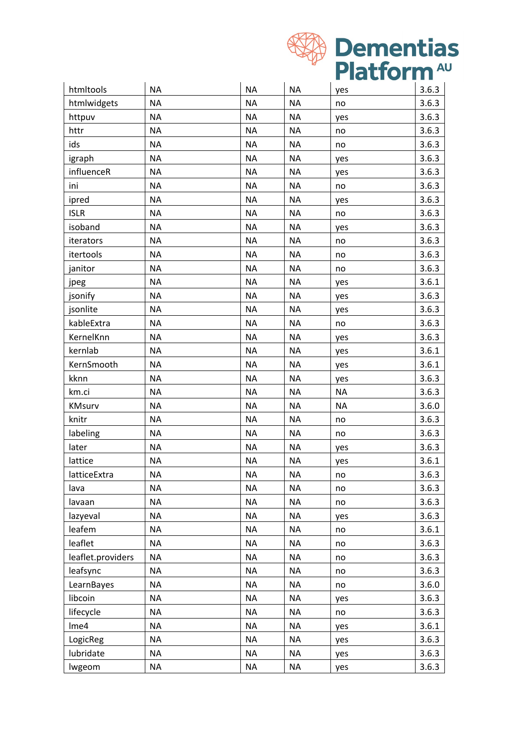

| htmltools         | <b>NA</b> | <b>NA</b> | <b>NA</b> | yes       | 3.6.3 |
|-------------------|-----------|-----------|-----------|-----------|-------|
| htmlwidgets       | <b>NA</b> | <b>NA</b> | <b>NA</b> | no        | 3.6.3 |
| httpuv            | <b>NA</b> | <b>NA</b> | <b>NA</b> | yes       | 3.6.3 |
| httr              | <b>NA</b> | <b>NA</b> | <b>NA</b> | no        | 3.6.3 |
| ids               | <b>NA</b> | <b>NA</b> | <b>NA</b> | no        | 3.6.3 |
| igraph            | <b>NA</b> | <b>NA</b> | <b>NA</b> | yes       | 3.6.3 |
| influenceR        | <b>NA</b> | <b>NA</b> | <b>NA</b> | yes       | 3.6.3 |
| ini               | <b>NA</b> | <b>NA</b> | <b>NA</b> | no        | 3.6.3 |
| ipred             | <b>NA</b> | <b>NA</b> | <b>NA</b> | yes       | 3.6.3 |
| <b>ISLR</b>       | <b>NA</b> | <b>NA</b> | <b>NA</b> | no        | 3.6.3 |
| isoband           | <b>NA</b> | <b>NA</b> | <b>NA</b> | yes       | 3.6.3 |
| iterators         | <b>NA</b> | <b>NA</b> | <b>NA</b> | no        | 3.6.3 |
| itertools         | <b>NA</b> | <b>NA</b> | <b>NA</b> | no        | 3.6.3 |
| janitor           | <b>NA</b> | <b>NA</b> | <b>NA</b> | no        | 3.6.3 |
| jpeg              | <b>NA</b> | <b>NA</b> | <b>NA</b> | yes       | 3.6.1 |
| jsonify           | <b>NA</b> | <b>NA</b> | <b>NA</b> | yes       | 3.6.3 |
| jsonlite          | <b>NA</b> | <b>NA</b> | <b>NA</b> | yes       | 3.6.3 |
| kableExtra        | <b>NA</b> | <b>NA</b> | <b>NA</b> | no        | 3.6.3 |
| KernelKnn         | <b>NA</b> | <b>NA</b> | <b>NA</b> | yes       | 3.6.3 |
| kernlab           | <b>NA</b> | <b>NA</b> | <b>NA</b> | yes       | 3.6.1 |
| KernSmooth        | <b>NA</b> | <b>NA</b> | <b>NA</b> | yes       | 3.6.1 |
| kknn              | <b>NA</b> | <b>NA</b> | <b>NA</b> | yes       | 3.6.3 |
| km.ci             | <b>NA</b> | <b>NA</b> | <b>NA</b> | <b>NA</b> | 3.6.3 |
| KMsurv            | <b>NA</b> | <b>NA</b> | <b>NA</b> | <b>NA</b> | 3.6.0 |
| knitr             | <b>NA</b> | <b>NA</b> | <b>NA</b> | no        | 3.6.3 |
| labeling          | <b>NA</b> | <b>NA</b> | <b>NA</b> | no        | 3.6.3 |
| later             | <b>NA</b> | <b>NA</b> | <b>NA</b> | yes       | 3.6.3 |
| lattice           | <b>NA</b> | <b>NA</b> | <b>NA</b> | yes       | 3.6.1 |
| latticeExtra      | <b>NA</b> | <b>NA</b> | <b>NA</b> | no        | 3.6.3 |
| lava              | <b>NA</b> | <b>NA</b> | <b>NA</b> | no        | 3.6.3 |
| lavaan            | <b>NA</b> | <b>NA</b> | <b>NA</b> | no        | 3.6.3 |
| lazyeval          | <b>NA</b> | <b>NA</b> | <b>NA</b> | yes       | 3.6.3 |
| leafem            | <b>NA</b> | <b>NA</b> | <b>NA</b> | no        | 3.6.1 |
| leaflet           | <b>NA</b> | <b>NA</b> | <b>NA</b> | no        | 3.6.3 |
| leaflet.providers | <b>NA</b> | <b>NA</b> | $\sf NA$  | no        | 3.6.3 |
| leafsync          | <b>NA</b> | <b>NA</b> | <b>NA</b> | no        | 3.6.3 |
| LearnBayes        | <b>NA</b> | <b>NA</b> | <b>NA</b> | no        | 3.6.0 |
| libcoin           | <b>NA</b> | <b>NA</b> | <b>NA</b> | yes       | 3.6.3 |
| lifecycle         | <b>NA</b> | <b>NA</b> | <b>NA</b> | no        | 3.6.3 |
| Ime4              | <b>NA</b> | <b>NA</b> | <b>NA</b> | yes       | 3.6.1 |
| LogicReg          | <b>NA</b> | <b>NA</b> | <b>NA</b> | yes       | 3.6.3 |
| lubridate         | <b>NA</b> | <b>NA</b> | <b>NA</b> | yes       | 3.6.3 |
| lwgeom            | <b>NA</b> | <b>NA</b> | <b>NA</b> | yes       | 3.6.3 |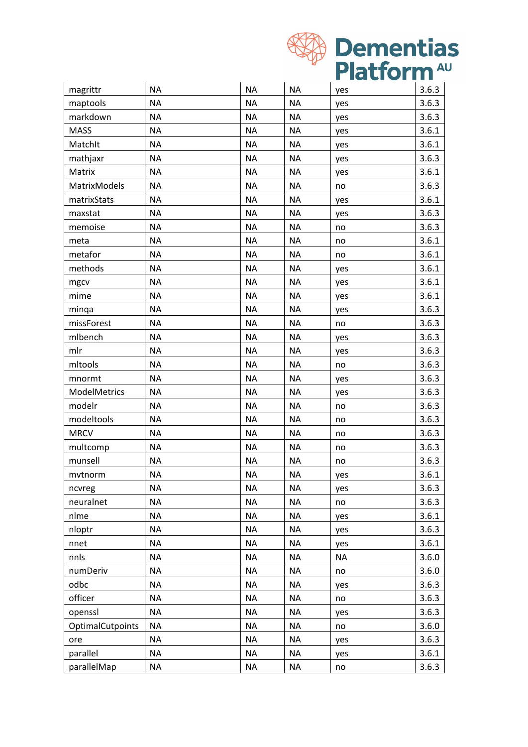

|                  |           |           |           | <b>THE REAL</b><br>$\sim$ $\sim$ $\sim$ |       |
|------------------|-----------|-----------|-----------|-----------------------------------------|-------|
| magrittr         | <b>NA</b> | <b>NA</b> | <b>NA</b> | yes                                     | 3.6.3 |
| maptools         | <b>NA</b> | <b>NA</b> | <b>NA</b> | yes                                     | 3.6.3 |
| markdown         | <b>NA</b> | <b>NA</b> | <b>NA</b> | yes                                     | 3.6.3 |
| <b>MASS</b>      | <b>NA</b> | <b>NA</b> | <b>NA</b> | yes                                     | 3.6.1 |
| Matchlt          | <b>NA</b> | <b>NA</b> | <b>NA</b> | yes                                     | 3.6.1 |
| mathjaxr         | <b>NA</b> | <b>NA</b> | <b>NA</b> | yes                                     | 3.6.3 |
| Matrix           | <b>NA</b> | <b>NA</b> | <b>NA</b> | yes                                     | 3.6.1 |
| MatrixModels     | <b>NA</b> | <b>NA</b> | <b>NA</b> | no                                      | 3.6.3 |
| matrixStats      | <b>NA</b> | <b>NA</b> | <b>NA</b> | yes                                     | 3.6.1 |
| maxstat          | <b>NA</b> | <b>NA</b> | <b>NA</b> | yes                                     | 3.6.3 |
| memoise          | <b>NA</b> | <b>NA</b> | <b>NA</b> | no                                      | 3.6.3 |
| meta             | <b>NA</b> | <b>NA</b> | <b>NA</b> | no                                      | 3.6.1 |
| metafor          | <b>NA</b> | <b>NA</b> | <b>NA</b> | no                                      | 3.6.1 |
| methods          | <b>NA</b> | <b>NA</b> | <b>NA</b> | yes                                     | 3.6.1 |
| mgcv             | <b>NA</b> | <b>NA</b> | <b>NA</b> | yes                                     | 3.6.1 |
| mime             | <b>NA</b> | <b>NA</b> | <b>NA</b> | yes                                     | 3.6.1 |
| minga            | <b>NA</b> | <b>NA</b> | <b>NA</b> | yes                                     | 3.6.3 |
| missForest       | <b>NA</b> | <b>NA</b> | <b>NA</b> | no                                      | 3.6.3 |
| mlbench          | <b>NA</b> | <b>NA</b> | <b>NA</b> | yes                                     | 3.6.3 |
| mlr              | <b>NA</b> | <b>NA</b> | <b>NA</b> | yes                                     | 3.6.3 |
| mitools          | <b>NA</b> | <b>NA</b> | <b>NA</b> | no                                      | 3.6.3 |
| mnormt           | <b>NA</b> | <b>NA</b> | <b>NA</b> | yes                                     | 3.6.3 |
| ModelMetrics     | <b>NA</b> | <b>NA</b> | <b>NA</b> | yes                                     | 3.6.3 |
| modelr           | <b>NA</b> | <b>NA</b> | <b>NA</b> | no                                      | 3.6.3 |
| modeltools       | <b>NA</b> | <b>NA</b> | <b>NA</b> | no                                      | 3.6.3 |
| <b>MRCV</b>      | <b>NA</b> | <b>NA</b> | <b>NA</b> | no                                      | 3.6.3 |
| multcomp         | <b>NA</b> | <b>NA</b> | <b>NA</b> | no                                      | 3.6.3 |
| munsell          | <b>NA</b> | <b>NA</b> | <b>NA</b> | no                                      | 3.6.3 |
| mvtnorm          | <b>NA</b> | <b>NA</b> | $\sf NA$  | yes                                     | 3.6.1 |
| ncvreg           | ΝA        | ΝA        | ΝA        | yes                                     | 3.6.3 |
| neuralnet        | <b>NA</b> | <b>NA</b> | <b>NA</b> | no                                      | 3.6.3 |
| nlme             | <b>NA</b> | <b>NA</b> | <b>NA</b> | yes                                     | 3.6.1 |
| nloptr           | <b>NA</b> | <b>NA</b> | <b>NA</b> | yes                                     | 3.6.3 |
| nnet             | <b>NA</b> | <b>NA</b> | <b>NA</b> | yes                                     | 3.6.1 |
| nnls             | <b>NA</b> | <b>NA</b> | <b>NA</b> | <b>NA</b>                               | 3.6.0 |
| numDeriv         | <b>NA</b> | <b>NA</b> | <b>NA</b> | no                                      | 3.6.0 |
| odbc             | <b>NA</b> | <b>NA</b> | <b>NA</b> | yes                                     | 3.6.3 |
| officer          | <b>NA</b> | <b>NA</b> | <b>NA</b> | no                                      | 3.6.3 |
| openssl          | <b>NA</b> | <b>NA</b> | <b>NA</b> | yes                                     | 3.6.3 |
| OptimalCutpoints | <b>NA</b> | <b>NA</b> | <b>NA</b> | no                                      | 3.6.0 |
| ore              | <b>NA</b> | <b>NA</b> | <b>NA</b> | yes                                     | 3.6.3 |
| parallel         | NA        | <b>NA</b> | NA        | yes                                     | 3.6.1 |
| parallelMap      | NA        | <b>NA</b> | <b>NA</b> | no                                      | 3.6.3 |
|                  |           |           |           |                                         |       |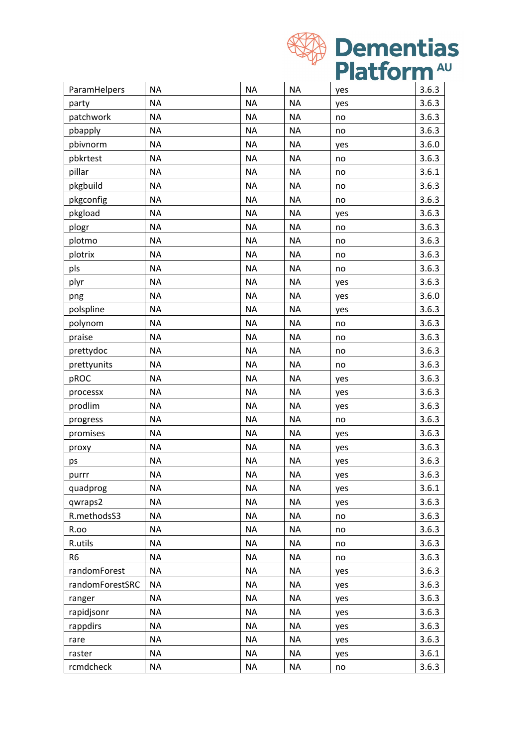

| ParamHelpers    | <b>NA</b> | <b>NA</b> | <b>NA</b> | yes | 3.6.3 |
|-----------------|-----------|-----------|-----------|-----|-------|
| party           | <b>NA</b> | <b>NA</b> | <b>NA</b> | yes | 3.6.3 |
| patchwork       | <b>NA</b> | <b>NA</b> | <b>NA</b> | no  | 3.6.3 |
| pbapply         | <b>NA</b> | <b>NA</b> | <b>NA</b> | no  | 3.6.3 |
| pbivnorm        | <b>NA</b> | <b>NA</b> | <b>NA</b> | yes | 3.6.0 |
| pbkrtest        | <b>NA</b> | <b>NA</b> | <b>NA</b> | no  | 3.6.3 |
| pillar          | <b>NA</b> | <b>NA</b> | <b>NA</b> | no  | 3.6.1 |
| pkgbuild        | <b>NA</b> | <b>NA</b> | <b>NA</b> | no  | 3.6.3 |
| pkgconfig       | <b>NA</b> | <b>NA</b> | <b>NA</b> | no  | 3.6.3 |
| pkgload         | <b>NA</b> | <b>NA</b> | <b>NA</b> | yes | 3.6.3 |
| plogr           | <b>NA</b> | <b>NA</b> | <b>NA</b> | no  | 3.6.3 |
| plotmo          | <b>NA</b> | <b>NA</b> | <b>NA</b> | no  | 3.6.3 |
| plotrix         | <b>NA</b> | <b>NA</b> | <b>NA</b> | no  | 3.6.3 |
| pls             | <b>NA</b> | <b>NA</b> | <b>NA</b> | no  | 3.6.3 |
| plyr            | <b>NA</b> | <b>NA</b> | <b>NA</b> | yes | 3.6.3 |
| png             | <b>NA</b> | <b>NA</b> | <b>NA</b> | yes | 3.6.0 |
| polspline       | <b>NA</b> | <b>NA</b> | <b>NA</b> | yes | 3.6.3 |
| polynom         | <b>NA</b> | <b>NA</b> | <b>NA</b> | no  | 3.6.3 |
| praise          | <b>NA</b> | <b>NA</b> | <b>NA</b> | no  | 3.6.3 |
| prettydoc       | <b>NA</b> | <b>NA</b> | <b>NA</b> | no  | 3.6.3 |
| prettyunits     | <b>NA</b> | <b>NA</b> | <b>NA</b> | no  | 3.6.3 |
| pROC            | <b>NA</b> | <b>NA</b> | <b>NA</b> | yes | 3.6.3 |
| processx        | <b>NA</b> | <b>NA</b> | <b>NA</b> | yes | 3.6.3 |
| prodlim         | <b>NA</b> | <b>NA</b> | <b>NA</b> | yes | 3.6.3 |
| progress        | <b>NA</b> | <b>NA</b> | <b>NA</b> | no  | 3.6.3 |
| promises        | <b>NA</b> | <b>NA</b> | <b>NA</b> | yes | 3.6.3 |
| proxy           | <b>NA</b> | <b>NA</b> | <b>NA</b> | yes | 3.6.3 |
| ps              | <b>NA</b> | <b>NA</b> | <b>NA</b> | yes | 3.6.3 |
| purrr           | <b>NA</b> | <b>NA</b> | <b>NA</b> | yes | 3.6.3 |
| quadprog        | <b>NA</b> | <b>NA</b> | <b>NA</b> | yes | 3.6.1 |
| qwraps2         | <b>NA</b> | <b>NA</b> | <b>NA</b> | yes | 3.6.3 |
| R.methodsS3     | <b>NA</b> | <b>NA</b> | <b>NA</b> | no  | 3.6.3 |
| R.oo            | <b>NA</b> | <b>NA</b> | <b>NA</b> | no  | 3.6.3 |
| R.utils         | <b>NA</b> | <b>NA</b> | <b>NA</b> | no  | 3.6.3 |
| R <sub>6</sub>  | <b>NA</b> | <b>NA</b> | <b>NA</b> | no  | 3.6.3 |
| randomForest    | <b>NA</b> | <b>NA</b> | <b>NA</b> | yes | 3.6.3 |
| randomForestSRC | <b>NA</b> | <b>NA</b> | <b>NA</b> | yes | 3.6.3 |
| ranger          | <b>NA</b> | <b>NA</b> | <b>NA</b> | yes | 3.6.3 |
| rapidjsonr      | <b>NA</b> | <b>NA</b> | <b>NA</b> | yes | 3.6.3 |
| rappdirs        | <b>NA</b> | <b>NA</b> | <b>NA</b> | yes | 3.6.3 |
| rare            | <b>NA</b> | <b>NA</b> | <b>NA</b> | yes | 3.6.3 |
| raster          | <b>NA</b> | <b>NA</b> | <b>NA</b> | yes | 3.6.1 |
| rcmdcheck       | <b>NA</b> | <b>NA</b> | <b>NA</b> | no  | 3.6.3 |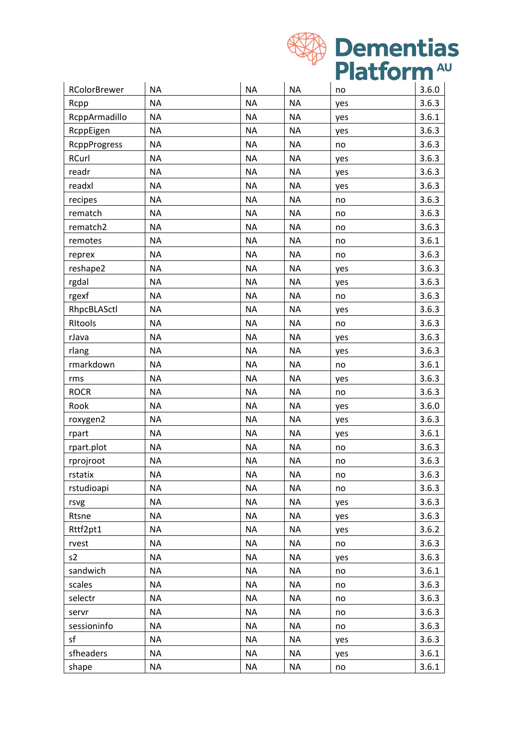

| RColorBrewer        | <b>NA</b> | <b>NA</b> | <b>NA</b> | no  | 3.6.0 |
|---------------------|-----------|-----------|-----------|-----|-------|
| Rcpp                | <b>NA</b> | <b>NA</b> | <b>NA</b> | yes | 3.6.3 |
| RcppArmadillo       | <b>NA</b> | <b>NA</b> | <b>NA</b> | yes | 3.6.1 |
| RcppEigen           | <b>NA</b> | <b>NA</b> | <b>NA</b> | yes | 3.6.3 |
| <b>RcppProgress</b> | <b>NA</b> | <b>NA</b> | <b>NA</b> | no  | 3.6.3 |
| RCurl               | <b>NA</b> | <b>NA</b> | <b>NA</b> | yes | 3.6.3 |
| readr               | <b>NA</b> | <b>NA</b> | <b>NA</b> | yes | 3.6.3 |
| readxl              | <b>NA</b> | <b>NA</b> | <b>NA</b> | yes | 3.6.3 |
| recipes             | <b>NA</b> | <b>NA</b> | <b>NA</b> | no  | 3.6.3 |
| rematch             | <b>NA</b> | <b>NA</b> | <b>NA</b> | no  | 3.6.3 |
| rematch2            | <b>NA</b> | <b>NA</b> | <b>NA</b> | no  | 3.6.3 |
| remotes             | <b>NA</b> | <b>NA</b> | <b>NA</b> | no  | 3.6.1 |
| reprex              | <b>NA</b> | <b>NA</b> | <b>NA</b> | no  | 3.6.3 |
| reshape2            | <b>NA</b> | <b>NA</b> | <b>NA</b> | yes | 3.6.3 |
| rgdal               | <b>NA</b> | <b>NA</b> | <b>NA</b> | yes | 3.6.3 |
| rgexf               | <b>NA</b> | <b>NA</b> | <b>NA</b> | no  | 3.6.3 |
| RhpcBLASctl         | <b>NA</b> | <b>NA</b> | <b>NA</b> | yes | 3.6.3 |
| Ritools             | <b>NA</b> | <b>NA</b> | <b>NA</b> | no  | 3.6.3 |
| rJava               | <b>NA</b> | <b>NA</b> | <b>NA</b> | yes | 3.6.3 |
| rlang               | <b>NA</b> | <b>NA</b> | <b>NA</b> | yes | 3.6.3 |
| rmarkdown           | <b>NA</b> | <b>NA</b> | <b>NA</b> | no  | 3.6.1 |
| rms                 | <b>NA</b> | <b>NA</b> | <b>NA</b> | yes | 3.6.3 |
| <b>ROCR</b>         | <b>NA</b> | <b>NA</b> | <b>NA</b> | no  | 3.6.3 |
| Rook                | <b>NA</b> | <b>NA</b> | <b>NA</b> | yes | 3.6.0 |
| roxygen2            | <b>NA</b> | <b>NA</b> | <b>NA</b> | yes | 3.6.3 |
| rpart               | <b>NA</b> | <b>NA</b> | <b>NA</b> | yes | 3.6.1 |
| rpart.plot          | <b>NA</b> | <b>NA</b> | <b>NA</b> | no  | 3.6.3 |
| rprojroot           | <b>NA</b> | ΝA        | <b>NA</b> | no  | 3.6.3 |
| rstatix             | <b>NA</b> | <b>NA</b> | <b>NA</b> | no  | 3.6.3 |
| rstudioapi          | <b>NA</b> | <b>NA</b> | <b>NA</b> | no  | 3.6.3 |
| rsvg                | <b>NA</b> | <b>NA</b> | <b>NA</b> | yes | 3.6.3 |
| Rtsne               | <b>NA</b> | <b>NA</b> | <b>NA</b> | yes | 3.6.3 |
| Rttf2pt1            | <b>NA</b> | <b>NA</b> | <b>NA</b> | yes | 3.6.2 |
| rvest               | <b>NA</b> | <b>NA</b> | <b>NA</b> | no  | 3.6.3 |
| s2                  | <b>NA</b> | <b>NA</b> | <b>NA</b> | yes | 3.6.3 |
| sandwich            | <b>NA</b> | <b>NA</b> | <b>NA</b> | no  | 3.6.1 |
| scales              | <b>NA</b> | <b>NA</b> | <b>NA</b> | no  | 3.6.3 |
| selectr             | <b>NA</b> | <b>NA</b> | <b>NA</b> | no  | 3.6.3 |
| servr               | <b>NA</b> | <b>NA</b> | <b>NA</b> | no  | 3.6.3 |
| sessioninfo         | <b>NA</b> | ΝA        | <b>NA</b> | no  | 3.6.3 |
| sf                  | <b>NA</b> | <b>NA</b> | <b>NA</b> | yes | 3.6.3 |
| sfheaders           | <b>NA</b> | <b>NA</b> | <b>NA</b> | yes | 3.6.1 |
| shape               | <b>NA</b> | <b>NA</b> | <b>NA</b> | no  | 3.6.1 |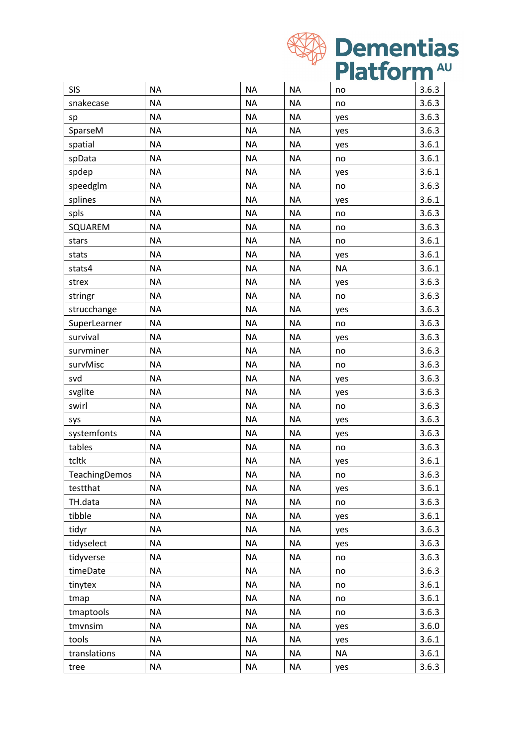

| <b>SIS</b>    | <b>NA</b> | <b>NA</b> | <b>NA</b> | no        | 3.6.3 |
|---------------|-----------|-----------|-----------|-----------|-------|
| snakecase     | <b>NA</b> | <b>NA</b> | <b>NA</b> | no        | 3.6.3 |
| sp            | <b>NA</b> | <b>NA</b> | <b>NA</b> | yes       | 3.6.3 |
| SparseM       | <b>NA</b> | <b>NA</b> | <b>NA</b> | yes       | 3.6.3 |
| spatial       | <b>NA</b> | <b>NA</b> | <b>NA</b> | yes       | 3.6.1 |
| spData        | <b>NA</b> | <b>NA</b> | <b>NA</b> | no        | 3.6.1 |
| spdep         | <b>NA</b> | <b>NA</b> | <b>NA</b> |           | 3.6.1 |
| speedglm      | <b>NA</b> | <b>NA</b> | <b>NA</b> | yes       | 3.6.3 |
| splines       | <b>NA</b> | <b>NA</b> | <b>NA</b> | no        | 3.6.1 |
|               | <b>NA</b> | <b>NA</b> | <b>NA</b> | yes       |       |
| spls          |           |           |           | no        | 3.6.3 |
| SQUAREM       | <b>NA</b> | <b>NA</b> | <b>NA</b> | no        | 3.6.3 |
| stars         | <b>NA</b> | <b>NA</b> | <b>NA</b> | no        | 3.6.1 |
| stats         | <b>NA</b> | <b>NA</b> | <b>NA</b> | yes       | 3.6.1 |
| stats4        | <b>NA</b> | <b>NA</b> | <b>NA</b> | <b>NA</b> | 3.6.1 |
| strex         | <b>NA</b> | <b>NA</b> | <b>NA</b> | yes       | 3.6.3 |
| stringr       | <b>NA</b> | <b>NA</b> | <b>NA</b> | no        | 3.6.3 |
| strucchange   | <b>NA</b> | <b>NA</b> | <b>NA</b> | yes       | 3.6.3 |
| SuperLearner  | <b>NA</b> | <b>NA</b> | <b>NA</b> | no        | 3.6.3 |
| survival      | <b>NA</b> | <b>NA</b> | <b>NA</b> | yes       | 3.6.3 |
| survminer     | <b>NA</b> | <b>NA</b> | <b>NA</b> | no        | 3.6.3 |
| survMisc      | <b>NA</b> | <b>NA</b> | <b>NA</b> | no        | 3.6.3 |
| svd           | <b>NA</b> | <b>NA</b> | <b>NA</b> | yes       | 3.6.3 |
| svglite       | <b>NA</b> | <b>NA</b> | <b>NA</b> | yes       | 3.6.3 |
| swirl         | <b>NA</b> | <b>NA</b> | <b>NA</b> | no        | 3.6.3 |
| sys           | <b>NA</b> | <b>NA</b> | <b>NA</b> | yes       | 3.6.3 |
| systemfonts   | <b>NA</b> | <b>NA</b> | <b>NA</b> | yes       | 3.6.3 |
| tables        | <b>NA</b> | <b>NA</b> | <b>NA</b> | no        | 3.6.3 |
| tcltk         | <b>NA</b> | <b>NA</b> | <b>NA</b> | yes       | 3.6.1 |
| TeachingDemos | <b>NA</b> | <b>NA</b> | <b>NA</b> | no        | 3.6.3 |
| testthat      | <b>NA</b> | <b>NA</b> | <b>NA</b> | yes       | 3.6.1 |
| TH.data       | <b>NA</b> | <b>NA</b> | <b>NA</b> | no        | 3.6.3 |
| tibble        | <b>NA</b> | <b>NA</b> | <b>NA</b> | yes       | 3.6.1 |
| tidyr         | <b>NA</b> | ΝA        | <b>NA</b> | yes       | 3.6.3 |
| tidyselect    | <b>NA</b> | <b>NA</b> | <b>NA</b> | yes       | 3.6.3 |
| tidyverse     | <b>NA</b> | <b>NA</b> | <b>NA</b> | no        | 3.6.3 |
| timeDate      | <b>NA</b> | <b>NA</b> | <b>NA</b> | no        | 3.6.3 |
| tinytex       | <b>NA</b> | <b>NA</b> | <b>NA</b> | no        | 3.6.1 |
| tmap          | <b>NA</b> | <b>NA</b> | <b>NA</b> | no        | 3.6.1 |
| tmaptools     | <b>NA</b> | <b>NA</b> | <b>NA</b> | no        | 3.6.3 |
| tmvnsim       | NA        | <b>NA</b> | <b>NA</b> | yes       | 3.6.0 |
| tools         | <b>NA</b> | ΝA        | <b>NA</b> | yes       | 3.6.1 |
| translations  | <b>NA</b> | <b>NA</b> | <b>NA</b> | <b>NA</b> | 3.6.1 |
| tree          | NA        | NA        | <b>NA</b> | yes       | 3.6.3 |
|               |           |           |           |           |       |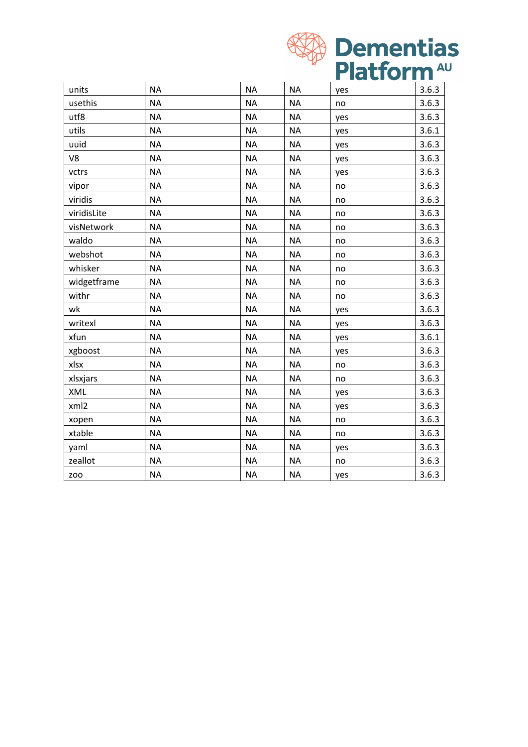

| units       | <b>NA</b> | <b>NA</b> | <b>NA</b> | yes | 3.6.3 |
|-------------|-----------|-----------|-----------|-----|-------|
| usethis     | <b>NA</b> | <b>NA</b> | <b>NA</b> | no  | 3.6.3 |
| utf8        | <b>NA</b> | <b>NA</b> | <b>NA</b> | yes | 3.6.3 |
| utils       | <b>NA</b> | <b>NA</b> | <b>NA</b> | yes | 3.6.1 |
| uuid        | <b>NA</b> | <b>NA</b> | <b>NA</b> | yes | 3.6.3 |
| V8          | <b>NA</b> | <b>NA</b> | <b>NA</b> | yes | 3.6.3 |
| vctrs       | <b>NA</b> | <b>NA</b> | <b>NA</b> | yes | 3.6.3 |
| vipor       | <b>NA</b> | <b>NA</b> | <b>NA</b> | no  | 3.6.3 |
| viridis     | <b>NA</b> | <b>NA</b> | <b>NA</b> | no  | 3.6.3 |
| viridisLite | <b>NA</b> | <b>NA</b> | <b>NA</b> | no  | 3.6.3 |
| visNetwork  | <b>NA</b> | <b>NA</b> | <b>NA</b> | no  | 3.6.3 |
| waldo       | <b>NA</b> | <b>NA</b> | <b>NA</b> | no  | 3.6.3 |
| webshot     | <b>NA</b> | <b>NA</b> | <b>NA</b> | no  | 3.6.3 |
| whisker     | <b>NA</b> | <b>NA</b> | <b>NA</b> | no  | 3.6.3 |
| widgetframe | <b>NA</b> | <b>NA</b> | <b>NA</b> | no  | 3.6.3 |
| withr       | <b>NA</b> | <b>NA</b> | <b>NA</b> | no  | 3.6.3 |
| wk          | <b>NA</b> | <b>NA</b> | <b>NA</b> | yes | 3.6.3 |
| writexl     | <b>NA</b> | <b>NA</b> | <b>NA</b> | yes | 3.6.3 |
| xfun        | <b>NA</b> | <b>NA</b> | <b>NA</b> | yes | 3.6.1 |
| xgboost     | <b>NA</b> | <b>NA</b> | <b>NA</b> | yes | 3.6.3 |
| xlsx        | <b>NA</b> | <b>NA</b> | <b>NA</b> | no  | 3.6.3 |
| xlsxjars    | <b>NA</b> | <b>NA</b> | <b>NA</b> | no  | 3.6.3 |
| XML         | <b>NA</b> | <b>NA</b> | <b>NA</b> | yes | 3.6.3 |
| xml2        | <b>NA</b> | <b>NA</b> | <b>NA</b> | yes | 3.6.3 |
| xopen       | <b>NA</b> | <b>NA</b> | <b>NA</b> | no  | 3.6.3 |
| xtable      | <b>NA</b> | <b>NA</b> | <b>NA</b> | no  | 3.6.3 |
| yaml        | <b>NA</b> | <b>NA</b> | <b>NA</b> | yes | 3.6.3 |
| zeallot     | <b>NA</b> | <b>NA</b> | <b>NA</b> | no  | 3.6.3 |
| <b>ZOO</b>  | <b>NA</b> | <b>NA</b> | <b>NA</b> | yes | 3.6.3 |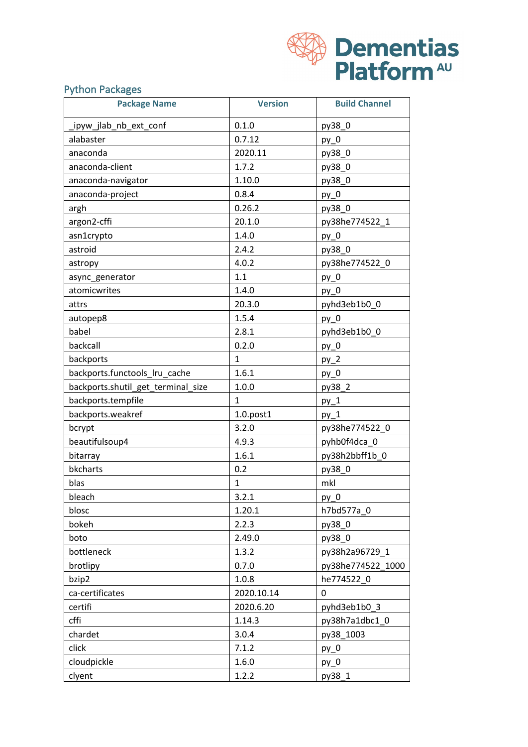| <b>WA Dementias</b>    |
|------------------------|
| Platform <sup>AU</sup> |

## Python Packages

| <b>Package Name</b>                | <b>Version</b>  | <b>Build Channel</b> |
|------------------------------------|-----------------|----------------------|
| ipyw jlab_nb_ext_conf              | 0.1.0           | py38_0               |
| alabaster                          | 0.7.12          | $py_0$               |
| anaconda                           | 2020.11         | py38_0               |
| anaconda-client                    | 1.7.2           | py38_0               |
| anaconda-navigator                 | 1.10.0          | py38_0               |
| anaconda-project                   | 0.8.4           | $py_0$               |
| argh                               | 0.26.2          | py38 0               |
| argon2-cffi                        | 20.1.0          | py38he774522_1       |
| asn1crypto                         | 1.4.0           | $py_0$               |
| astroid                            | 2.4.2           | py38_0               |
| astropy                            | 4.0.2           | py38he774522_0       |
| async_generator                    | 1.1             | $py_0$               |
| atomicwrites                       | 1.4.0           | $py_0$               |
| attrs                              | 20.3.0          | pyhd3eb1b0_0         |
| autopep8                           | 1.5.4           | py 0                 |
| babel                              | 2.8.1           | pyhd3eb1b0 0         |
| backcall                           | 0.2.0           | $py_0$               |
| backports                          | $\mathbf{1}$    | $py_2$               |
| backports.functools_lru_cache      | 1.6.1           | $py_0$               |
| backports.shutil_get_terminal_size | 1.0.0           | py38_2               |
| backports.tempfile                 | $\mathbf{1}$    | $py_1$               |
| backports.weakref                  | $1.0.$ post $1$ | $py_1$               |
| bcrypt                             | 3.2.0           | py38he774522_0       |
| beautifulsoup4                     | 4.9.3           | pyhb0f4dca_0         |
| bitarray                           | 1.6.1           | py38h2bbff1b 0       |
| bkcharts                           | 0.2             | py38_0               |
| blas                               | $\mathbf{1}$    | mkl                  |
| bleach                             | 3.2.1           | $py_0$               |
| blosc                              | 1.20.1          | h7bd577a 0           |
| bokeh                              | 2.2.3           | py38_0               |
| boto                               | 2.49.0          | py38_0               |
| bottleneck                         | 1.3.2           | py38h2a96729 1       |
| brotlipy                           | 0.7.0           | py38he774522_1000    |
| bzip2                              | 1.0.8           | he774522 0           |
| ca-certificates                    | 2020.10.14      | 0                    |
| certifi                            | 2020.6.20       | pyhd3eb1b0_3         |
| cffi                               | 1.14.3          | py38h7a1dbc1 0       |
| chardet                            | 3.0.4           | py38_1003            |
| click                              | 7.1.2           | $py_0$               |
| cloudpickle                        | 1.6.0           | $py_0$               |
| clyent                             | 1.2.2           | py38_1               |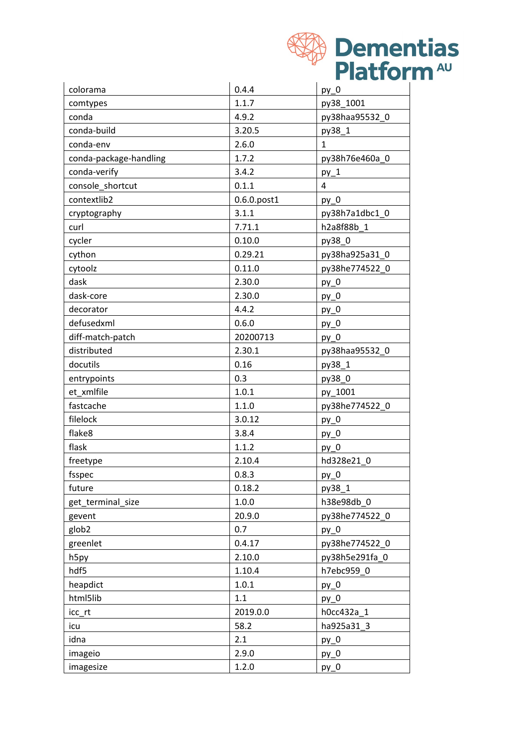| <b>KA Dementias</b>    |
|------------------------|
| Platform <sup>AU</sup> |

| colorama               | 0.4.4       | $py_0$         |
|------------------------|-------------|----------------|
| comtypes               | 1.1.7       | py38_1001      |
| conda                  | 4.9.2       | py38haa95532_0 |
| conda-build            | 3.20.5      | py38_1         |
| conda-env              | 2.6.0       | $\mathbf{1}$   |
| conda-package-handling | 1.7.2       | py38h76e460a_0 |
| conda-verify           | 3.4.2       | $py_1$         |
| console_shortcut       | 0.1.1       | 4              |
| contextlib2            | 0.6.0.post1 | py 0           |
| cryptography           | 3.1.1       | py38h7a1dbc1_0 |
| curl                   | 7.71.1      | h2a8f88b 1     |
| cycler                 | 0.10.0      | py38_0         |
| cython                 | 0.29.21     | py38ha925a31_0 |
| cytoolz                | 0.11.0      | py38he774522_0 |
| dask                   | 2.30.0      | $py_0$         |
| dask-core              | 2.30.0      | $py_0$         |
| decorator              | 4.4.2       | $py_0$         |
| defusedxml             | 0.6.0       | $py_0$         |
| diff-match-patch       | 20200713    | $py_0$         |
| distributed            | 2.30.1      | py38haa95532_0 |
| docutils               | 0.16        | py38_1         |
| entrypoints            | 0.3         | py38_0         |
| et xmlfile             | 1.0.1       | py_1001        |
| fastcache              | 1.1.0       | py38he774522_0 |
| filelock               | 3.0.12      | $py_0$         |
| flake8                 | 3.8.4       | $py_0$         |
| flask                  | 1.1.2       | $py_0$         |
| freetype               | 2.10.4      | hd328e21 0     |
| fsspec                 | 0.8.3       | $py_0$         |
| future                 | 0.18.2      | py38_1         |
| get_terminal_size      | 1.0.0       | h38e98db 0     |
| gevent                 | 20.9.0      | py38he774522 0 |
| glob <sub>2</sub>      | 0.7         | $py_0$         |
| greenlet               | 0.4.17      | py38he774522_0 |
| h <sub>5py</sub>       | 2.10.0      | py38h5e291fa 0 |
| hdf5                   | 1.10.4      | h7ebc959 0     |
| heapdict               | 1.0.1       | $py_0$         |
| html5lib               | 1.1         | $py_0$         |
| icc_rt                 | 2019.0.0    | h0cc432a_1     |
| icu                    | 58.2        | ha925a31 3     |
| idna                   | 2.1         | $py_0$         |
| imageio                | 2.9.0       | $py_0$         |
| imagesize              | 1.2.0       | $py_0$         |
|                        |             |                |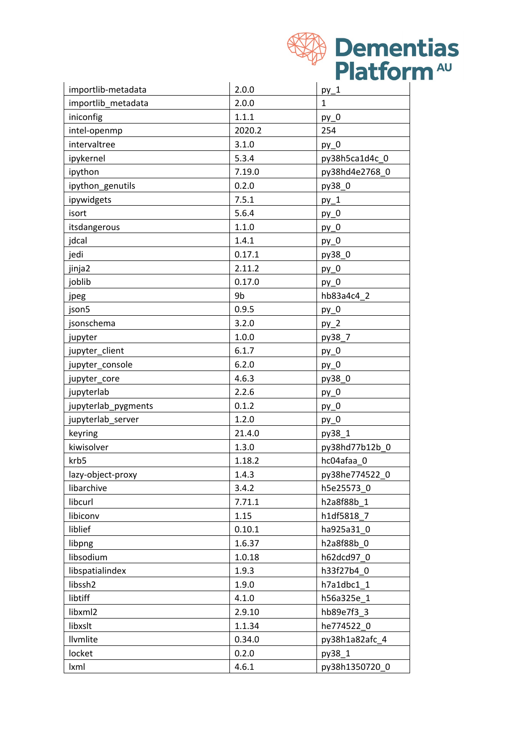|                     |        | <b>Dementias</b>       |
|---------------------|--------|------------------------|
|                     |        |                        |
|                     |        | Platform <sup>AU</sup> |
| importlib-metadata  | 2.0.0  | $py_1$                 |
| importlib_metadata  | 2.0.0  | $\mathbf{1}$           |
| iniconfig           | 1.1.1  | $py_0$                 |
| intel-openmp        | 2020.2 | 254                    |
| intervaltree        | 3.1.0  | $py_0$                 |
| ipykernel           | 5.3.4  | py38h5ca1d4c_0         |
| ipython             | 7.19.0 | py38hd4e2768_0         |
| ipython_genutils    | 0.2.0  | py38_0                 |
| ipywidgets          | 7.5.1  | $py_1$                 |
| isort               | 5.6.4  | $py_0$                 |
| itsdangerous        | 1.1.0  | $py_0$                 |
| jdcal               | 1.4.1  | $py_0$                 |
| jedi                | 0.17.1 | py38_0                 |
| jinja2              | 2.11.2 | $py_0$                 |
| joblib              | 0.17.0 | $py_0$                 |
| jpeg                | 9b     | hb83a4c4 2             |
| json5               | 0.9.5  | $py_0$                 |
| jsonschema          | 3.2.0  | $py_2$                 |
| jupyter             | 1.0.0  | py38_7                 |
| jupyter_client      | 6.1.7  | $py_0$                 |
| jupyter_console     | 6.2.0  | $py_0$                 |
| jupyter_core        | 4.6.3  | py38_0                 |
| jupyterlab          | 2.2.6  | py_0                   |
| jupyterlab_pygments | 0.1.2  | $py_0$                 |
| jupyterlab_server   | 1.2.0  | $py_0$                 |
| keyring             | 21.4.0 | py38_1                 |
| kiwisolver          | 1.3.0  | py38hd77b12b_0         |
| krb5                | 1.18.2 | hc04afaa_0             |
| lazy-object-proxy   | 1.4.3  | py38he774522_0         |
| libarchive          | 3.4.2  | h5e25573 0             |
| libcurl             | 7.71.1 | h2a8f88b 1             |
| libiconv            | 1.15   | h1df5818_7             |
| liblief             | 0.10.1 | ha925a31 0             |
| libpng              | 1.6.37 | h2a8f88b 0             |
| libsodium           | 1.0.18 | h62dcd97_0             |
| libspatialindex     | 1.9.3  | h33f27b4 0             |
| libssh2             | 1.9.0  | h7a1dbc1_1             |
| libtiff             | 4.1.0  | h56a325e_1             |
| libxml2             | 2.9.10 | hb89e7f3_3             |
| libxslt             | 1.1.34 | he774522_0             |
| Ilvmlite            | 0.34.0 | py38h1a82afc_4         |
| locket              | 0.2.0  | py38_1                 |
| Ixml                | 4.6.1  | py38h1350720_0         |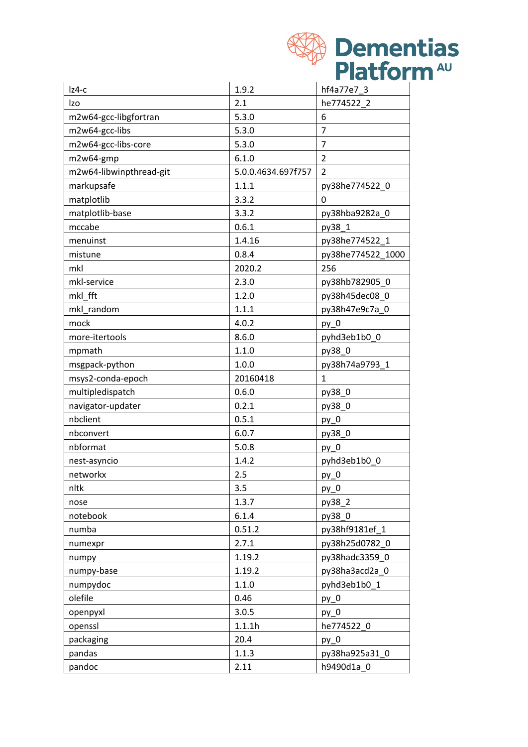| Platform <sup>40</sup><br>1.9.2<br>hf4a77e7 3<br>$Iz4-c$<br>2.1<br>he774522 2<br>m2w64-gcc-libgfortran<br>5.3.0<br>6<br>$\overline{7}$<br>m2w64-gcc-libs<br>5.3.0<br>m2w64-gcc-libs-core<br>$\overline{7}$<br>5.3.0<br>6.1.0<br>$\overline{2}$<br>m2w64-gmp<br>m2w64-libwinpthread-git<br>$\overline{2}$<br>5.0.0.4634.697f757<br>markupsafe<br>1.1.1<br>py38he774522_0<br>matplotlib<br>3.3.2<br>$\mathbf 0$<br>3.3.2<br>matplotlib-base<br>py38hba9282a_0<br>0.6.1<br>py38_1<br>1.4.16<br>py38he774522 1<br>menuinst<br>0.8.4<br>py38he774522_1000<br>mistune<br>2020.2<br>256<br>2.3.0<br>mkl-service<br>py38hb782905 0<br>mkl fft<br>py38h45dec08_0<br>1.2.0<br>mkl_random<br>1.1.1<br>py38h47e9c7a_0<br>4.0.2<br>mock<br>$py_0$<br>more-itertools<br>8.6.0<br>pyhd3eb1b0_0<br>1.1.0<br>py38_0<br>mpmath<br>msgpack-python<br>1.0.0<br>py38h74a9793_1<br>msys2-conda-epoch<br>20160418<br>$\mathbf{1}$<br>multipledispatch<br>0.6.0<br>py38_0<br>navigator-updater<br>0.2.1<br>py38 0<br>nbclient<br>0.5.1<br>$py_0$<br>nbconvert<br>6.0.7<br>py38_0<br>5.0.8<br>nbformat<br>$py_0$<br>nest-asyncio<br>1.4.2<br>pyhd3eb1b0 0<br>networkx<br>2.5<br>$py_0$<br>3.5<br>nltk<br>$py_0$<br>1.3.7<br>py38_2<br>nose<br>6.1.4<br>notebook<br>py38_0<br>numba<br>0.51.2<br>py38hf9181ef_1<br>2.7.1<br>py38h25d0782_0<br>numexpr<br>1.19.2<br>py38hadc3359_0<br>numpy<br>1.19.2<br>py38ha3acd2a_0<br>numpy-base<br>1.1.0<br>pyhd3eb1b0_1<br>numpydoc<br>olefile<br>0.46<br>$py_0$<br>3.0.5<br>openpyxl<br>$py_0$<br>1.1.1h<br>he774522 0<br>openssl<br>20.4<br>packaging<br>$py_0$<br>1.1.3<br>py38ha925a31_0<br>pandas |        |      |                  |
|--------------------------------------------------------------------------------------------------------------------------------------------------------------------------------------------------------------------------------------------------------------------------------------------------------------------------------------------------------------------------------------------------------------------------------------------------------------------------------------------------------------------------------------------------------------------------------------------------------------------------------------------------------------------------------------------------------------------------------------------------------------------------------------------------------------------------------------------------------------------------------------------------------------------------------------------------------------------------------------------------------------------------------------------------------------------------------------------------------------------------------------------------------------------------------------------------------------------------------------------------------------------------------------------------------------------------------------------------------------------------------------------------------------------------------------------------------------------------------------------------------------------------------------------------------------------------------------------------------------------|--------|------|------------------|
|                                                                                                                                                                                                                                                                                                                                                                                                                                                                                                                                                                                                                                                                                                                                                                                                                                                                                                                                                                                                                                                                                                                                                                                                                                                                                                                                                                                                                                                                                                                                                                                                                    |        |      | <b>Dementias</b> |
|                                                                                                                                                                                                                                                                                                                                                                                                                                                                                                                                                                                                                                                                                                                                                                                                                                                                                                                                                                                                                                                                                                                                                                                                                                                                                                                                                                                                                                                                                                                                                                                                                    |        |      |                  |
|                                                                                                                                                                                                                                                                                                                                                                                                                                                                                                                                                                                                                                                                                                                                                                                                                                                                                                                                                                                                                                                                                                                                                                                                                                                                                                                                                                                                                                                                                                                                                                                                                    |        |      |                  |
|                                                                                                                                                                                                                                                                                                                                                                                                                                                                                                                                                                                                                                                                                                                                                                                                                                                                                                                                                                                                                                                                                                                                                                                                                                                                                                                                                                                                                                                                                                                                                                                                                    | Izo    |      |                  |
|                                                                                                                                                                                                                                                                                                                                                                                                                                                                                                                                                                                                                                                                                                                                                                                                                                                                                                                                                                                                                                                                                                                                                                                                                                                                                                                                                                                                                                                                                                                                                                                                                    |        |      |                  |
|                                                                                                                                                                                                                                                                                                                                                                                                                                                                                                                                                                                                                                                                                                                                                                                                                                                                                                                                                                                                                                                                                                                                                                                                                                                                                                                                                                                                                                                                                                                                                                                                                    |        |      |                  |
|                                                                                                                                                                                                                                                                                                                                                                                                                                                                                                                                                                                                                                                                                                                                                                                                                                                                                                                                                                                                                                                                                                                                                                                                                                                                                                                                                                                                                                                                                                                                                                                                                    |        |      |                  |
|                                                                                                                                                                                                                                                                                                                                                                                                                                                                                                                                                                                                                                                                                                                                                                                                                                                                                                                                                                                                                                                                                                                                                                                                                                                                                                                                                                                                                                                                                                                                                                                                                    |        |      |                  |
|                                                                                                                                                                                                                                                                                                                                                                                                                                                                                                                                                                                                                                                                                                                                                                                                                                                                                                                                                                                                                                                                                                                                                                                                                                                                                                                                                                                                                                                                                                                                                                                                                    |        |      |                  |
|                                                                                                                                                                                                                                                                                                                                                                                                                                                                                                                                                                                                                                                                                                                                                                                                                                                                                                                                                                                                                                                                                                                                                                                                                                                                                                                                                                                                                                                                                                                                                                                                                    |        |      |                  |
|                                                                                                                                                                                                                                                                                                                                                                                                                                                                                                                                                                                                                                                                                                                                                                                                                                                                                                                                                                                                                                                                                                                                                                                                                                                                                                                                                                                                                                                                                                                                                                                                                    |        |      |                  |
|                                                                                                                                                                                                                                                                                                                                                                                                                                                                                                                                                                                                                                                                                                                                                                                                                                                                                                                                                                                                                                                                                                                                                                                                                                                                                                                                                                                                                                                                                                                                                                                                                    |        |      |                  |
|                                                                                                                                                                                                                                                                                                                                                                                                                                                                                                                                                                                                                                                                                                                                                                                                                                                                                                                                                                                                                                                                                                                                                                                                                                                                                                                                                                                                                                                                                                                                                                                                                    | mccabe |      |                  |
|                                                                                                                                                                                                                                                                                                                                                                                                                                                                                                                                                                                                                                                                                                                                                                                                                                                                                                                                                                                                                                                                                                                                                                                                                                                                                                                                                                                                                                                                                                                                                                                                                    |        |      |                  |
|                                                                                                                                                                                                                                                                                                                                                                                                                                                                                                                                                                                                                                                                                                                                                                                                                                                                                                                                                                                                                                                                                                                                                                                                                                                                                                                                                                                                                                                                                                                                                                                                                    |        |      |                  |
|                                                                                                                                                                                                                                                                                                                                                                                                                                                                                                                                                                                                                                                                                                                                                                                                                                                                                                                                                                                                                                                                                                                                                                                                                                                                                                                                                                                                                                                                                                                                                                                                                    | mkl    |      |                  |
|                                                                                                                                                                                                                                                                                                                                                                                                                                                                                                                                                                                                                                                                                                                                                                                                                                                                                                                                                                                                                                                                                                                                                                                                                                                                                                                                                                                                                                                                                                                                                                                                                    |        |      |                  |
|                                                                                                                                                                                                                                                                                                                                                                                                                                                                                                                                                                                                                                                                                                                                                                                                                                                                                                                                                                                                                                                                                                                                                                                                                                                                                                                                                                                                                                                                                                                                                                                                                    |        |      |                  |
|                                                                                                                                                                                                                                                                                                                                                                                                                                                                                                                                                                                                                                                                                                                                                                                                                                                                                                                                                                                                                                                                                                                                                                                                                                                                                                                                                                                                                                                                                                                                                                                                                    |        |      |                  |
|                                                                                                                                                                                                                                                                                                                                                                                                                                                                                                                                                                                                                                                                                                                                                                                                                                                                                                                                                                                                                                                                                                                                                                                                                                                                                                                                                                                                                                                                                                                                                                                                                    |        |      |                  |
|                                                                                                                                                                                                                                                                                                                                                                                                                                                                                                                                                                                                                                                                                                                                                                                                                                                                                                                                                                                                                                                                                                                                                                                                                                                                                                                                                                                                                                                                                                                                                                                                                    |        |      |                  |
|                                                                                                                                                                                                                                                                                                                                                                                                                                                                                                                                                                                                                                                                                                                                                                                                                                                                                                                                                                                                                                                                                                                                                                                                                                                                                                                                                                                                                                                                                                                                                                                                                    |        |      |                  |
|                                                                                                                                                                                                                                                                                                                                                                                                                                                                                                                                                                                                                                                                                                                                                                                                                                                                                                                                                                                                                                                                                                                                                                                                                                                                                                                                                                                                                                                                                                                                                                                                                    |        |      |                  |
|                                                                                                                                                                                                                                                                                                                                                                                                                                                                                                                                                                                                                                                                                                                                                                                                                                                                                                                                                                                                                                                                                                                                                                                                                                                                                                                                                                                                                                                                                                                                                                                                                    |        |      |                  |
|                                                                                                                                                                                                                                                                                                                                                                                                                                                                                                                                                                                                                                                                                                                                                                                                                                                                                                                                                                                                                                                                                                                                                                                                                                                                                                                                                                                                                                                                                                                                                                                                                    |        |      |                  |
|                                                                                                                                                                                                                                                                                                                                                                                                                                                                                                                                                                                                                                                                                                                                                                                                                                                                                                                                                                                                                                                                                                                                                                                                                                                                                                                                                                                                                                                                                                                                                                                                                    |        |      |                  |
|                                                                                                                                                                                                                                                                                                                                                                                                                                                                                                                                                                                                                                                                                                                                                                                                                                                                                                                                                                                                                                                                                                                                                                                                                                                                                                                                                                                                                                                                                                                                                                                                                    |        |      |                  |
|                                                                                                                                                                                                                                                                                                                                                                                                                                                                                                                                                                                                                                                                                                                                                                                                                                                                                                                                                                                                                                                                                                                                                                                                                                                                                                                                                                                                                                                                                                                                                                                                                    |        |      |                  |
|                                                                                                                                                                                                                                                                                                                                                                                                                                                                                                                                                                                                                                                                                                                                                                                                                                                                                                                                                                                                                                                                                                                                                                                                                                                                                                                                                                                                                                                                                                                                                                                                                    |        |      |                  |
|                                                                                                                                                                                                                                                                                                                                                                                                                                                                                                                                                                                                                                                                                                                                                                                                                                                                                                                                                                                                                                                                                                                                                                                                                                                                                                                                                                                                                                                                                                                                                                                                                    |        |      |                  |
|                                                                                                                                                                                                                                                                                                                                                                                                                                                                                                                                                                                                                                                                                                                                                                                                                                                                                                                                                                                                                                                                                                                                                                                                                                                                                                                                                                                                                                                                                                                                                                                                                    |        |      |                  |
|                                                                                                                                                                                                                                                                                                                                                                                                                                                                                                                                                                                                                                                                                                                                                                                                                                                                                                                                                                                                                                                                                                                                                                                                                                                                                                                                                                                                                                                                                                                                                                                                                    |        |      |                  |
|                                                                                                                                                                                                                                                                                                                                                                                                                                                                                                                                                                                                                                                                                                                                                                                                                                                                                                                                                                                                                                                                                                                                                                                                                                                                                                                                                                                                                                                                                                                                                                                                                    |        |      |                  |
|                                                                                                                                                                                                                                                                                                                                                                                                                                                                                                                                                                                                                                                                                                                                                                                                                                                                                                                                                                                                                                                                                                                                                                                                                                                                                                                                                                                                                                                                                                                                                                                                                    |        |      |                  |
|                                                                                                                                                                                                                                                                                                                                                                                                                                                                                                                                                                                                                                                                                                                                                                                                                                                                                                                                                                                                                                                                                                                                                                                                                                                                                                                                                                                                                                                                                                                                                                                                                    |        |      |                  |
|                                                                                                                                                                                                                                                                                                                                                                                                                                                                                                                                                                                                                                                                                                                                                                                                                                                                                                                                                                                                                                                                                                                                                                                                                                                                                                                                                                                                                                                                                                                                                                                                                    |        |      |                  |
|                                                                                                                                                                                                                                                                                                                                                                                                                                                                                                                                                                                                                                                                                                                                                                                                                                                                                                                                                                                                                                                                                                                                                                                                                                                                                                                                                                                                                                                                                                                                                                                                                    |        |      |                  |
|                                                                                                                                                                                                                                                                                                                                                                                                                                                                                                                                                                                                                                                                                                                                                                                                                                                                                                                                                                                                                                                                                                                                                                                                                                                                                                                                                                                                                                                                                                                                                                                                                    |        |      |                  |
|                                                                                                                                                                                                                                                                                                                                                                                                                                                                                                                                                                                                                                                                                                                                                                                                                                                                                                                                                                                                                                                                                                                                                                                                                                                                                                                                                                                                                                                                                                                                                                                                                    |        |      |                  |
|                                                                                                                                                                                                                                                                                                                                                                                                                                                                                                                                                                                                                                                                                                                                                                                                                                                                                                                                                                                                                                                                                                                                                                                                                                                                                                                                                                                                                                                                                                                                                                                                                    |        |      |                  |
|                                                                                                                                                                                                                                                                                                                                                                                                                                                                                                                                                                                                                                                                                                                                                                                                                                                                                                                                                                                                                                                                                                                                                                                                                                                                                                                                                                                                                                                                                                                                                                                                                    |        |      |                  |
|                                                                                                                                                                                                                                                                                                                                                                                                                                                                                                                                                                                                                                                                                                                                                                                                                                                                                                                                                                                                                                                                                                                                                                                                                                                                                                                                                                                                                                                                                                                                                                                                                    |        |      |                  |
|                                                                                                                                                                                                                                                                                                                                                                                                                                                                                                                                                                                                                                                                                                                                                                                                                                                                                                                                                                                                                                                                                                                                                                                                                                                                                                                                                                                                                                                                                                                                                                                                                    |        |      |                  |
|                                                                                                                                                                                                                                                                                                                                                                                                                                                                                                                                                                                                                                                                                                                                                                                                                                                                                                                                                                                                                                                                                                                                                                                                                                                                                                                                                                                                                                                                                                                                                                                                                    |        |      |                  |
|                                                                                                                                                                                                                                                                                                                                                                                                                                                                                                                                                                                                                                                                                                                                                                                                                                                                                                                                                                                                                                                                                                                                                                                                                                                                                                                                                                                                                                                                                                                                                                                                                    | pandoc | 2.11 | h9490d1a_0       |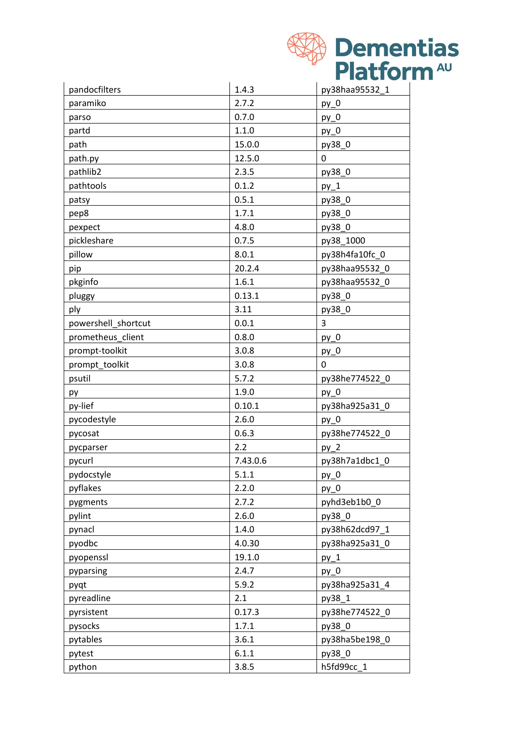| <b>XA Dementias</b>    |
|------------------------|
| Platform <sup>AU</sup> |

| pandocfilters       | 1.4.3    | py38haa95532 1 |
|---------------------|----------|----------------|
| paramiko            | 2.7.2    | $py_0$         |
| parso               | 0.7.0    | $py_0$         |
| partd               | 1.1.0    | $py_0$         |
| path                | 15.0.0   | py38_0         |
| path.py             | 12.5.0   | 0              |
| pathlib2            | 2.3.5    | py38_0         |
| pathtools           | 0.1.2    | $py_1$         |
| patsy               | 0.5.1    | py38_0         |
| pep8                | 1.7.1    | py38_0         |
| pexpect             | 4.8.0    | py38_0         |
| pickleshare         | 0.7.5    | py38_1000      |
| pillow              | 8.0.1    | py38h4fa10fc_0 |
| pip                 | 20.2.4   | py38haa95532 0 |
| pkginfo             | 1.6.1    | py38haa95532_0 |
| pluggy              | 0.13.1   | py38_0         |
| ply                 | 3.11     | py38 0         |
| powershell_shortcut | 0.0.1    | 3              |
| prometheus_client   | 0.8.0    | $py_0$         |
| prompt-toolkit      | 3.0.8    | $py_0$         |
| prompt toolkit      | 3.0.8    | 0              |
| psutil              | 5.7.2    | py38he774522_0 |
| py                  | 1.9.0    | $py_0$         |
| py-lief             | 0.10.1   | py38ha925a31_0 |
| pycodestyle         | 2.6.0    | $py_0$         |
| pycosat             | 0.6.3    | py38he774522 0 |
| pycparser           | 2.2      | $py_2$         |
| pycurl              | 7.43.0.6 | py38h7a1dbc1_0 |
| pydocstyle          | 5.1.1    | $py_0$         |
| pyflakes            | 2.2.0    | $py_0$         |
| pygments            | 2.7.2    | pyhd3eb1b0 0   |
| pylint              | 2.6.0    | py38 0         |
| pynacl              | 1.4.0    | py38h62dcd97_1 |
| pyodbc              | 4.0.30   | py38ha925a31_0 |
| pyopenssl           | 19.1.0   | $py_1$         |
| pyparsing           | 2.4.7    | $py_0$         |
| pyqt                | 5.9.2    | py38ha925a31 4 |
| pyreadline          | 2.1      | py38 1         |
| pyrsistent          | 0.17.3   | py38he774522_0 |
| pysocks             | 1.7.1    | py38_0         |
| pytables            | 3.6.1    | py38ha5be198_0 |
| pytest              | 6.1.1    | py38_0         |
| python              | 3.8.5    | h5fd99cc 1     |
|                     |          |                |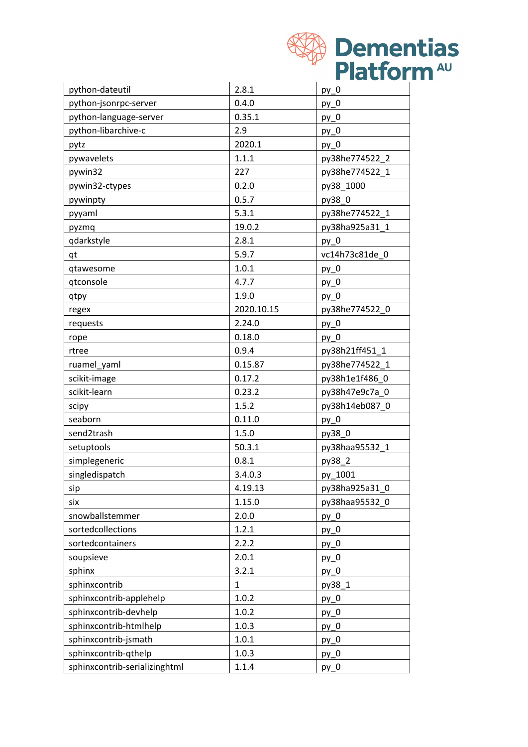|                               |              | <b>Dementias</b>       |
|-------------------------------|--------------|------------------------|
|                               |              | Platform <sup>AU</sup> |
|                               |              |                        |
| python-dateutil               | 2.8.1        | $py_0$                 |
| python-jsonrpc-server         | 0.4.0        | $py_0$                 |
| python-language-server        | 0.35.1       | $py_0$                 |
| python-libarchive-c           | 2.9          | $py_0$                 |
| pytz                          | 2020.1       | $py_0$                 |
| pywavelets                    | 1.1.1        | py38he774522_2         |
| pywin32                       | 227          | py38he774522_1         |
| pywin32-ctypes                | 0.2.0        | py38_1000              |
| pywinpty                      | 0.5.7        | py38_0                 |
| pyyaml                        | 5.3.1        | py38he774522 1         |
| pyzmq                         | 19.0.2       | py38ha925a31_1         |
| qdarkstyle                    | 2.8.1        | $py_0$                 |
| qt                            | 5.9.7        | vc14h73c81de 0         |
| qtawesome                     | 1.0.1        | $py_0$                 |
| qtconsole                     | 4.7.7        | $py_0$                 |
| qtpy                          | 1.9.0        | $py_0$                 |
| regex                         | 2020.10.15   | py38he774522_0         |
| requests                      | 2.24.0       | $py_0$                 |
| rope                          | 0.18.0       | $py_0$                 |
| rtree                         | 0.9.4        | py38h21ff451_1         |
| ruamel_yaml                   | 0.15.87      | py38he774522_1         |
| scikit-image                  | 0.17.2       | py38h1e1f486_0         |
| scikit-learn                  | 0.23.2       | py38h47e9c7a_0         |
| scipy                         | 1.5.2        | py38h14eb087_0         |
| seaborn                       | 0.11.0       | $py_0$                 |
| send2trash                    | 1.5.0        | py38_0                 |
| setuptools                    | 50.3.1       | py38haa95532 1         |
| simplegeneric                 | 0.8.1        | py38_2                 |
| singledispatch                | 3.4.0.3      | py_1001                |
| sip                           | 4.19.13      | py38ha925a31_0         |
| six                           | 1.15.0       | py38haa95532_0         |
| snowballstemmer               | 2.0.0        | $py_0$                 |
| sortedcollections             | 1.2.1        | $py_0$                 |
| sortedcontainers              | 2.2.2        | $py_0$                 |
| soupsieve                     | 2.0.1        | $py_0$                 |
| sphinx                        | 3.2.1        | $py_0$                 |
| sphinxcontrib                 | $\mathbf{1}$ | py38_1                 |
| sphinxcontrib-applehelp       | 1.0.2        | $py_0$                 |
| sphinxcontrib-devhelp         | 1.0.2        | $py_0$                 |
| sphinxcontrib-htmlhelp        | 1.0.3        | $py_0$                 |
| sphinxcontrib-jsmath          | 1.0.1        | $py_0$                 |
| sphinxcontrib-qthelp          | 1.0.3        | $py_0$                 |
| sphinxcontrib-serializinghtml | 1.1.4        | $py_0$                 |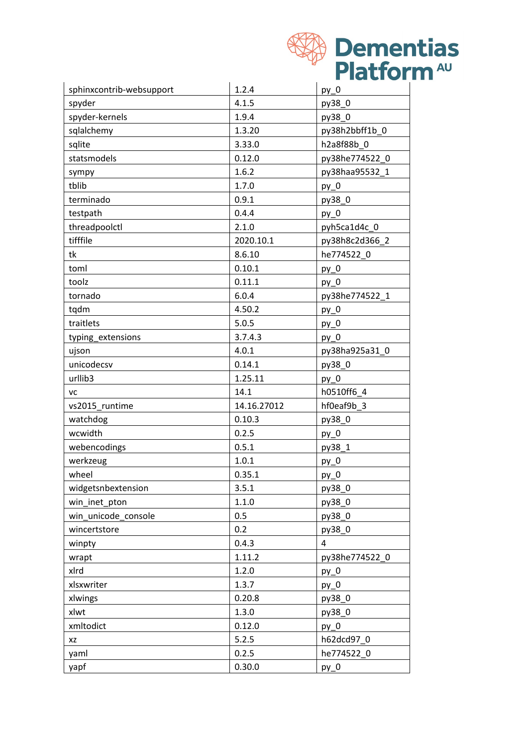|                          |             | <b>Dementias</b>       |
|--------------------------|-------------|------------------------|
|                          |             | Platform <sup>40</sup> |
|                          |             |                        |
| sphinxcontrib-websupport | 1.2.4       | $py_0$                 |
| spyder                   | 4.1.5       | py38_0                 |
| spyder-kernels           | 1.9.4       | py38_0                 |
| sqlalchemy               | 1.3.20      | py38h2bbff1b_0         |
| sqlite                   | 3.33.0      | h2a8f88b 0             |
| statsmodels              | 0.12.0      | py38he774522_0         |
| sympy                    | 1.6.2       | py38haa95532_1         |
| tblib                    | 1.7.0       | $py_0$                 |
| terminado                | 0.9.1       | py38_0                 |
| testpath                 | 0.4.4       | $py_0$                 |
| threadpoolctl            | 2.1.0       | pyh5ca1d4c_0           |
| tifffile                 | 2020.10.1   | py38h8c2d366_2         |
| tk                       | 8.6.10      | he774522 0             |
| toml                     | 0.10.1      | $py_0$                 |
| toolz                    | 0.11.1      | $py_0$                 |
| tornado                  | 6.0.4       | py38he774522_1         |
| tqdm                     | 4.50.2      | $py_0$                 |
| traitlets                | 5.0.5       | $py_0$                 |
| typing_extensions        | 3.7.4.3     | $py_0$                 |
| ujson                    | 4.0.1       | py38ha925a31_0         |
| unicodecsv               | 0.14.1      | py38_0                 |
| urllib <sub>3</sub>      | 1.25.11     | $py_0$                 |
| VC                       | 14.1        | h0510ff6 4             |
| vs2015 runtime           | 14.16.27012 | hf0eaf9b 3             |
| watchdog                 | 0.10.3      | py38_0                 |
| wcwidth                  | 0.2.5       | $py_0$                 |
| webencodings             | 0.5.1       | py38_1                 |
| werkzeug                 | 1.0.1       | $py_0$                 |
| wheel                    | 0.35.1      | $py_0$                 |
| widgetsnbextension       | 3.5.1       | py38_0                 |
| win_inet_pton            | 1.1.0       | py38_0                 |
| win_unicode_console      | 0.5         | py38_0                 |
| wincertstore             | 0.2         | py38 0                 |
| winpty                   | 0.4.3       | 4                      |
| wrapt                    | 1.11.2      | py38he774522_0         |
| xlrd                     | 1.2.0       | $py_0$                 |
| xlsxwriter               | 1.3.7       | $py_0$                 |
| xlwings                  | 0.20.8      | py38_0                 |
| xlwt                     | 1.3.0       | py38_0                 |
| xmltodict                | 0.12.0      | $py_0$                 |
| XZ                       | 5.2.5       | h62dcd97_0             |
| yaml                     | 0.2.5       | he774522 0             |
| yapf                     | 0.30.0      | $py_0$                 |